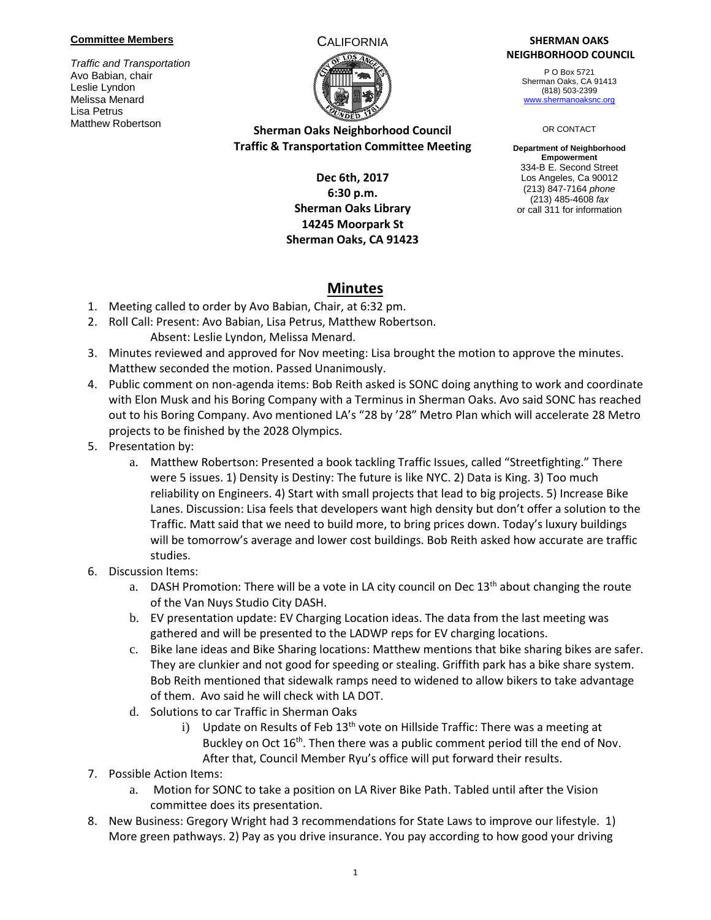### **Committee Members**

*Traffic and Transportation* Avo Babian, chair Leslie Lyndon Melissa Menard Lisa Petrus Matthew Robertson



## **Sherman Oaks Neighborhood Council Traffic & Transportation Committee Meeting**

## **Dec 6th, 2017 6:30 p.m. Sherman Oaks Library 14245 Moorpark St Sherman Oaks, CA 91423**

### CALIFORNIA **SHERMAN OAKS NEIGHBORHOOD COUNCIL**

P O Box 5721 Sherman Oaks, CA 91413 (818) 503-2399 [www.shermanoaksnc.org](http://www.shermanoaksnc.org/)

#### OR CONTACT

**Department of Neighborhood Empowerment** 334-B E. Second Street Los Angeles, Ca 90012 (213) 847-7164 *phone* (213) 485-4608 *fax* or call 311 for information

# **Minutes**

- 1. Meeting called to order by Avo Babian, Chair, at 6:32 pm.
- 2. Roll Call: Present: Avo Babian, Lisa Petrus, Matthew Robertson. Absent: Leslie Lyndon, Melissa Menard.
- 3. Minutes reviewed and approved for Nov meeting: Lisa brought the motion to approve the minutes. Matthew seconded the motion. Passed Unanimously.
- 4. Public comment on non-agenda items: Bob Reith asked is SONC doing anything to work and coordinate with Elon Musk and his Boring Company with a Terminus in Sherman Oaks. Avo said SONC has reached out to his Boring Company. Avo mentioned LA's "28 by '28" Metro Plan which will accelerate 28 Metro projects to be finished by the 2028 Olympics.
- 5. Presentation by:
	- a. Matthew Robertson: Presented a book tackling Traffic Issues, called "Streetfighting." There were 5 issues. 1) Density is Destiny: The future is like NYC. 2) Data is King. 3) Too much reliability on Engineers. 4) Start with small projects that lead to big projects. 5) Increase Bike Lanes. Discussion: Lisa feels that developers want high density but don't offer a solution to the Traffic. Matt said that we need to build more, to bring prices down. Today's luxury buildings will be tomorrow's average and lower cost buildings. Bob Reith asked how accurate are traffic studies.
- 6. Discussion Items:
	- a. DASH Promotion: There will be a vote in LA city council on Dec  $13<sup>th</sup>$  about changing the route of the Van Nuys Studio City DASH.
	- b. EV presentation update: EV Charging Location ideas. The data from the last meeting was gathered and will be presented to the LADWP reps for EV charging locations.
	- c. Bike lane ideas and Bike Sharing locations: Matthew mentions that bike sharing bikes are safer. They are clunkier and not good for speeding or stealing. Griffith park has a bike share system. Bob Reith mentioned that sidewalk ramps need to widened to allow bikers to take advantage of them. Avo said he will check with LA DOT.
	- d. Solutions to car Traffic in Sherman Oaks
		- i) Update on Results of Feb  $13<sup>th</sup>$  vote on Hillside Traffic: There was a meeting at Buckley on Oct 16<sup>th</sup>. Then there was a public comment period till the end of Nov. After that, Council Member Ryu's office will put forward their results.
- 7. Possible Action Items:
	- a. Motion for SONC to take a position on LA River Bike Path. Tabled until after the Vision committee does its presentation.
- 8. New Business: Gregory Wright had 3 recommendations for State Laws to improve our lifestyle. 1) More green pathways. 2) Pay as you drive insurance. You pay according to how good your driving